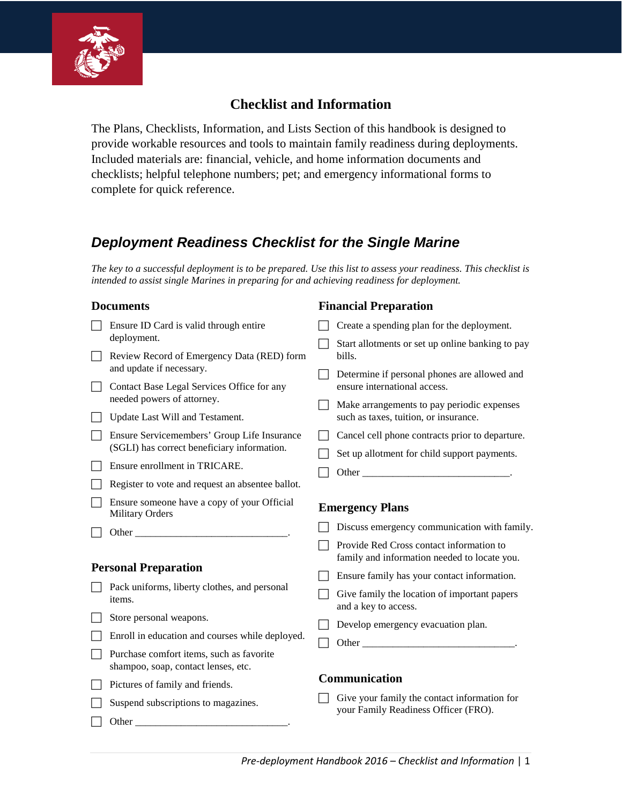

### **Checklist and Information**

The Plans, Checklists, Information, and Lists Section of this handbook is designed to provide workable resources and tools to maintain family readiness during deployments. Included materials are: financial, vehicle, and home information documents and checklists; helpful telephone numbers; pet; and emergency informational forms to complete for quick reference.

## *Deployment Readiness Checklist for the Single Marine*

*The key to a successful deployment is to be prepared. Use this list to assess your readiness. This checklist is intended to assist single Marines in preparing for and achieving readiness for deployment.* 

**Financial Preparation**

#### **Documents**

 $\Box$  Other

| Ensure ID Card is valid through entire                                          | Create a spending plan for the deployment.                                                                                                                                                                                    |
|---------------------------------------------------------------------------------|-------------------------------------------------------------------------------------------------------------------------------------------------------------------------------------------------------------------------------|
| deployment.                                                                     | Start allotments or set up online banking to pay                                                                                                                                                                              |
| Review Record of Emergency Data (RED) form<br>and update if necessary.          | bills.                                                                                                                                                                                                                        |
| Contact Base Legal Services Office for any                                      | Determine if personal phones are allowed and<br>ensure international access.                                                                                                                                                  |
| needed powers of attorney.                                                      |                                                                                                                                                                                                                               |
| Update Last Will and Testament.                                                 | Make arrangements to pay periodic expenses<br>such as taxes, tuition, or insurance.                                                                                                                                           |
| Ensure Servicemembers' Group Life Insurance                                     | Cancel cell phone contracts prior to departure.                                                                                                                                                                               |
| (SGLI) has correct beneficiary information.                                     | Set up allotment for child support payments.                                                                                                                                                                                  |
| Ensure enrollment in TRICARE.                                                   | Other and the contract of the contract of the contract of the contract of the contract of the contract of the contract of the contract of the contract of the contract of the contract of the contract of the contract of the |
| Register to vote and request an absentee ballot.                                |                                                                                                                                                                                                                               |
| Ensure someone have a copy of your Official<br><b>Military Orders</b>           | <b>Emergency Plans</b>                                                                                                                                                                                                        |
|                                                                                 | Discuss emergency communication with family.                                                                                                                                                                                  |
|                                                                                 | Provide Red Cross contact information to<br>family and information needed to locate you.                                                                                                                                      |
| <b>Personal Preparation</b>                                                     | Ensure family has your contact information.                                                                                                                                                                                   |
| Pack uniforms, liberty clothes, and personal<br>items.                          | Give family the location of important papers<br>and a key to access.                                                                                                                                                          |
| Store personal weapons.                                                         | Develop emergency evacuation plan.                                                                                                                                                                                            |
| Enroll in education and courses while deployed.                                 |                                                                                                                                                                                                                               |
| Purchase comfort items, such as favorite<br>shampoo, soap, contact lenses, etc. |                                                                                                                                                                                                                               |
|                                                                                 |                                                                                                                                                                                                                               |
| Pictures of family and friends.                                                 | Communication                                                                                                                                                                                                                 |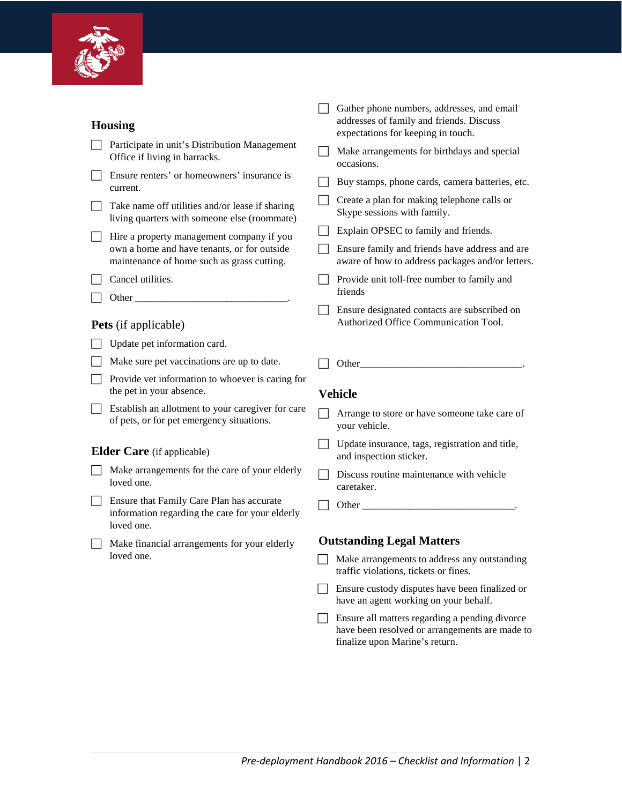

| <b>Housing</b>                                                                                                                                                                                                                | Gather phone numbers, addresses, and email<br>addresses of family and friends. Discuss<br>expectations for keeping in touch. |
|-------------------------------------------------------------------------------------------------------------------------------------------------------------------------------------------------------------------------------|------------------------------------------------------------------------------------------------------------------------------|
| Participate in unit's Distribution Management<br>Office if living in barracks.                                                                                                                                                | Make arrangements for birthdays and special<br>occasions.                                                                    |
| Ensure renters' or homeowners' insurance is<br>current.                                                                                                                                                                       | Buy stamps, phone cards, camera batteries, etc.                                                                              |
| Take name off utilities and/or lease if sharing<br>living quarters with someone else (roommate)                                                                                                                               | Create a plan for making telephone calls or<br>Skype sessions with family.                                                   |
| Hire a property management company if you                                                                                                                                                                                     | Explain OPSEC to family and friends.                                                                                         |
| own a home and have tenants, or for outside<br>maintenance of home such as grass cutting.                                                                                                                                     | Ensure family and friends have address and are<br>aware of how to address packages and/or letters.                           |
| Cancel utilities.                                                                                                                                                                                                             | Provide unit toll-free number to family and<br>friends                                                                       |
| Other and the contract of the contract of the contract of the contract of the contract of the contract of the contract of the contract of the contract of the contract of the contract of the contract of the contract of the | Ensure designated contacts are subscribed on                                                                                 |
| Pets (if applicable)                                                                                                                                                                                                          | Authorized Office Communication Tool.                                                                                        |
| Update pet information card.                                                                                                                                                                                                  |                                                                                                                              |
| Make sure pet vaccinations are up to date.                                                                                                                                                                                    | Other                                                                                                                        |
| Provide vet information to whoever is caring for<br>the pet in your absence.                                                                                                                                                  | <b>Vehicle</b>                                                                                                               |
| Establish an allotment to your caregiver for care<br>of pets, or for pet emergency situations.                                                                                                                                | Arrange to store or have someone take care of<br>your vehicle.                                                               |
| <b>Elder Care</b> (if applicable)                                                                                                                                                                                             | Update insurance, tags, registration and title,<br>and inspection sticker.                                                   |
| Make arrangements for the care of your elderly<br>loved one.                                                                                                                                                                  | Discuss routine maintenance with vehicle<br>caretaker.                                                                       |
| Ensure that Family Care Plan has accurate<br>information regarding the care for your elderly<br>loved one.                                                                                                                    |                                                                                                                              |
| Make financial arrangements for your elderly                                                                                                                                                                                  | <b>Outstanding Legal Matters</b>                                                                                             |
| loved one.                                                                                                                                                                                                                    | Make arrangements to address any outstanding<br>traffic violations, tickets or fines.                                        |
|                                                                                                                                                                                                                               | Ensure custody disputes have been finalized or<br>have an agent working on your behalf.                                      |
|                                                                                                                                                                                                                               | Ensure all matters regarding a pending divorce                                                                               |

finalize upon Marine's return.

have been resolved or arrangements are made to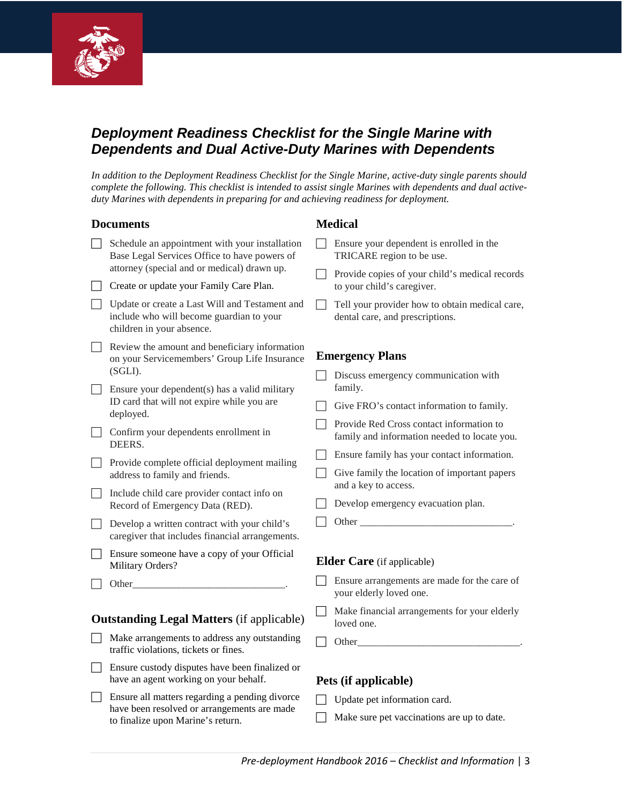

### *Deployment Readiness Checklist for the Single Marine with Dependents and Dual Active-Duty Marines with Dependents*

*In addition to the Deployment Readiness Checklist for the Single Marine, active-duty single parents should complete the following. This checklist is intended to assist single Marines with dependents and dual activeduty Marines with dependents in preparing for and achieving readiness for deployment.*

#### **Documents**

- Schedule an appointment with your installation Base Legal Services Office to have powers of attorney (special and or medical) drawn up.
- □ Create or update your Family Care Plan.
- Update or create a Last Will and Testament and include who will become guardian to your children in your absence.
- $\Box$  Review the amount and beneficiary information on your Servicemembers' Group Life Insurance (SGLI).
- Ensure your dependent(s) has a valid military ID card that will not expire while you are deployed.
- Confirm your dependents enrollment in DEERS.
- $\Box$  Provide complete official deployment mailing address to family and friends.
- $\Box$  Include child care provider contact info on Record of Emergency Data (RED).
- Develop a written contract with your child's caregiver that includes financial arrangements.
- $\Box$  Ensure someone have a copy of your Official Military Orders?
- $\Box$  Other

### **Outstanding Legal Matters** (if applicable)

- Make arrangements to address any outstanding traffic violations, tickets or fines.
- Ensure custody disputes have been finalized or have an agent working on your behalf.
- Ensure all matters regarding a pending divorce have been resolved or arrangements are made to finalize upon Marine's return.

#### **Medical**

- Ensure your dependent is enrolled in the TRICARE region to be use.
- Provide copies of your child's medical records to your child's caregiver.
- $\Box$  Tell your provider how to obtain medical care, dental care, and prescriptions.

#### **Emergency Plans**

- $\Box$  Discuss emergency communication with family.
- $\Box$  Give FRO's contact information to family.
- Provide Red Cross contact information to family and information needed to locate you.
- Ensure family has your contact information.
- $\Box$  Give family the location of important papers and a key to access.
- $\Box$  Develop emergency evacuation plan.
- $\Box$  Other

#### **Elder Care** (if applicable)

- Ensure arrangements are made for the care of your elderly loved one.
- Make financial arrangements for your elderly loved one.
- $\Box$  Other

#### **Pets (if applicable)**

- $\Box$  Update pet information card.
- $\Box$  Make sure pet vaccinations are up to date.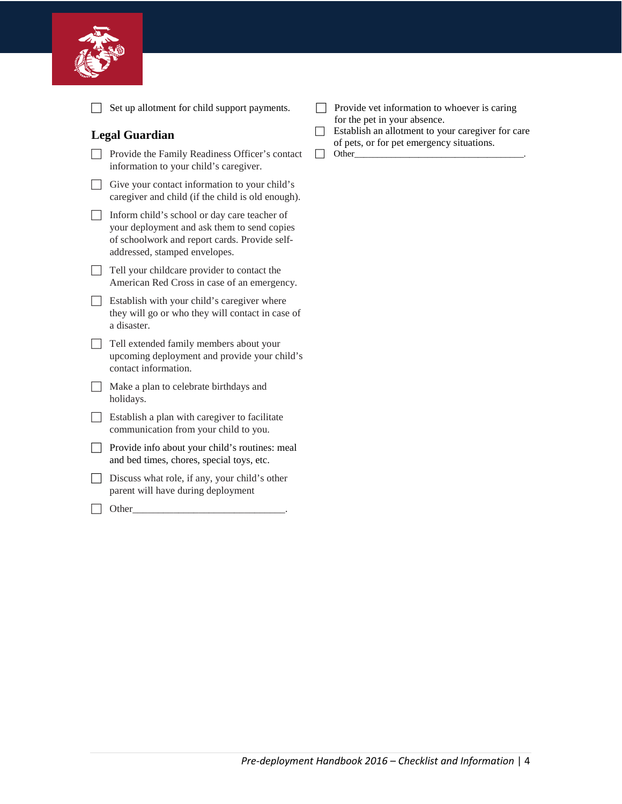

|                          | Set up allotment for child support payments.                                                                                                                                  |  |
|--------------------------|-------------------------------------------------------------------------------------------------------------------------------------------------------------------------------|--|
|                          | <b>Legal Guardian</b>                                                                                                                                                         |  |
|                          | Provide the Family Readiness Officer's contact<br>information to your child's caregiver.                                                                                      |  |
|                          | Give your contact information to your child's<br>caregiver and child (if the child is old enough).                                                                            |  |
| $\overline{\phantom{0}}$ | Inform child's school or day care teacher of<br>your deployment and ask them to send copies<br>of schoolwork and report cards. Provide self-<br>addressed, stamped envelopes. |  |
| $\overline{\phantom{a}}$ | Tell your childcare provider to contact the<br>American Red Cross in case of an emergency.                                                                                    |  |
|                          | Establish with your child's caregiver where<br>they will go or who they will contact in case of<br>a disaster.                                                                |  |
|                          | Tell extended family members about your<br>upcoming deployment and provide your child's<br>contact information.                                                               |  |
|                          | Make a plan to celebrate birthdays and<br>holidays.                                                                                                                           |  |
|                          | Establish a plan with caregiver to facilitate<br>communication from your child to you.                                                                                        |  |
|                          | Provide info about your child's routines: meal<br>and bed times, chores, special toys, etc.                                                                                   |  |
|                          | Discuss what role, if any, your child's other<br>parent will have during deployment                                                                                           |  |
|                          | Other                                                                                                                                                                         |  |

- Provide vet information to whoever is caring for the pet in your absence.
- $\Box$  Establish an allotment to your caregiver for care of pets, or for pet emergency situations.
- Other\_\_\_\_\_\_\_\_\_\_\_\_\_\_\_\_\_\_\_\_\_\_\_\_\_\_\_\_\_\_\_\_\_\_\_\_\_.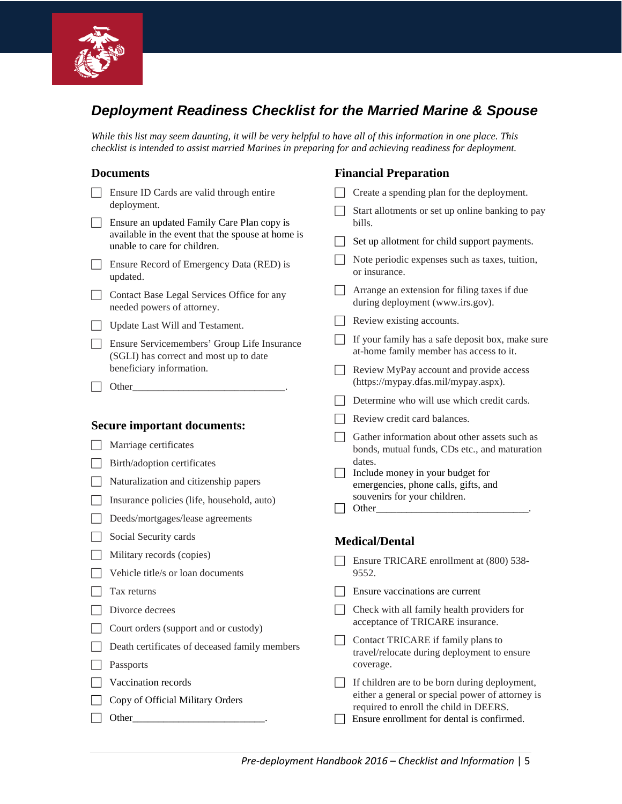

# *Deployment Readiness Checklist for the Married Marine & Spouse*

**Financial Preparation**

*While this list may seem daunting, it will be very helpful to have all of this information in one place. This checklist is intended to assist married Marines in preparing for and achieving readiness for deployment.*

#### **Documents**

 $\Box$  Other

| Ensure ID Cards are valid through entire                                              |                | Create a spending plan for the deployment.                                                     |
|---------------------------------------------------------------------------------------|----------------|------------------------------------------------------------------------------------------------|
| deployment.<br>Ensure an updated Family Care Plan copy is                             |                | Start allotments or set up online banking to pay<br>bills.                                     |
| available in the event that the spouse at home is<br>unable to care for children.     |                | Set up allotment for child support payments.                                                   |
| Ensure Record of Emergency Data (RED) is<br>updated.                                  |                | Note periodic expenses such as taxes, tuition,<br>or insurance.                                |
| Contact Base Legal Services Office for any<br>needed powers of attorney.              |                | Arrange an extension for filing taxes if due<br>during deployment (www.irs.gov).               |
| Update Last Will and Testament.                                                       |                | Review existing accounts.                                                                      |
| Ensure Servicemembers' Group Life Insurance<br>(SGLI) has correct and most up to date |                | If your family has a safe deposit box, make sure<br>at-home family member has access to it.    |
| beneficiary information.<br>Other                                                     |                | Review MyPay account and provide access<br>(https://mypay.dfas.mil/mypay.aspx).                |
|                                                                                       |                | Determine who will use which credit cards.                                                     |
| <b>Secure important documents:</b>                                                    |                | Review credit card balances.                                                                   |
| Marriage certificates                                                                 |                | Gather information about other assets such as<br>bonds, mutual funds, CDs etc., and maturation |
| Birth/adoption certificates                                                           | <b>College</b> | dates.<br>Include money in your budget for                                                     |
| Naturalization and citizenship papers                                                 |                | emergencies, phone calls, gifts, and                                                           |
| Insurance policies (life, household, auto)                                            |                | souvenirs for your children.<br>Other_                                                         |
| Deeds/mortgages/lease agreements                                                      |                |                                                                                                |
| Social Security cards                                                                 |                | <b>Medical/Dental</b>                                                                          |
| Military records (copies)                                                             |                | Ensure TRICARE enrollment at (800) 538-                                                        |
| Vehicle title/s or loan documents                                                     |                | 9552.                                                                                          |
| Tax returns                                                                           |                | Ensure vaccinations are current                                                                |
| Divorce decrees                                                                       |                | Check with all family health providers for                                                     |
| Court orders (support and or custody)                                                 |                | acceptance of TRICARE insurance.                                                               |
| Death certificates of deceased family members<br>Passports                            |                | Contact TRICARE if family plans to<br>travel/relocate during deployment to ensure<br>coverage. |
| Vaccination records                                                                   |                | If children are to be born during deployment,                                                  |
| Copy of Official Military Orders                                                      |                | either a general or special power of attorney is<br>required to enroll the child in DEERS.     |

Ensure enrollment for dental is confirmed.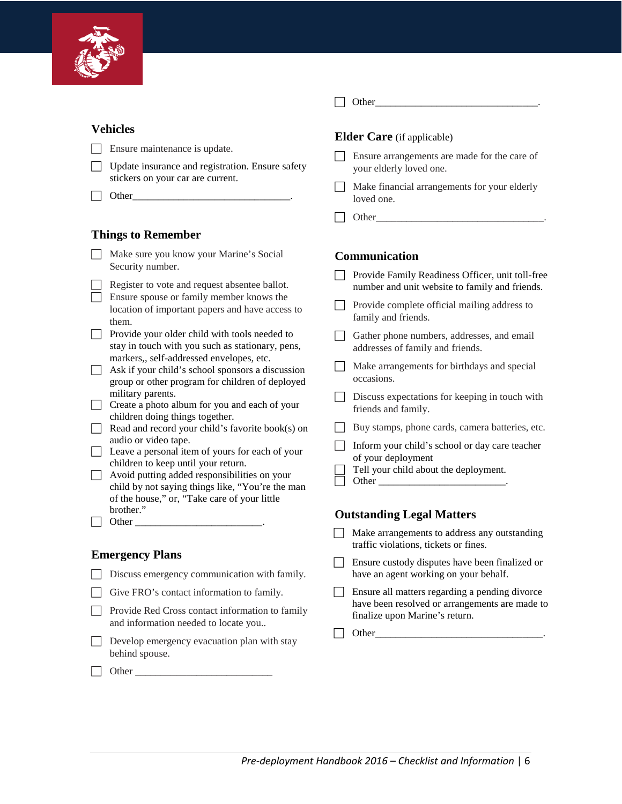

- Ensure maintenance is update.
- □ Update insurance and registration. Ensure safety stickers on your car are current.
- $\Box$  Other

### **Things to Remember**

| Make sure you know your Marine's Social |
|-----------------------------------------|
| Security number.                        |

- Register to vote and request absentee ballot.
- Ensure spouse or family member knows the location of important papers and have access to them.

| Provide your older child with tools needed to    |
|--------------------------------------------------|
| stay in touch with you such as stationary, pens, |
| markers,, self-addressed envelopes, etc.         |

- $\Box$  Ask if your child's school sponsors a discussion group or other program for children of deployed military parents.
- T Create a photo album for you and each of your children doing things together.
- $\Box$  Read and record your child's favorite book(s) on audio or video tape.
- Leave a personal item of yours for each of your children to keep until your return.
- Avoid putting added responsibilities on your child by not saying things like, "You're the man of the house," or, "Take care of your little brother."
- $\Box$  Other  $\Box$

### **Emergency Plans**

- Discuss emergency communication with family.
- $\Box$  Give FRO's contact information to family.
- $\Box$  Provide Red Cross contact information to family and information needed to locate you..
- $\Box$  Develop emergency evacuation plan with stay behind spouse.
- $\Box$  Other

#### **Elder Care** (if applicable)

- Ensure arrangements are made for the care of your elderly loved one.
- Make financial arrangements for your elderly loved one.

Other\_\_\_\_\_\_\_\_\_\_\_\_\_\_\_\_\_\_\_\_\_\_\_\_\_\_\_\_\_\_\_\_\_.

### **Communication**

- $\Box$  Provide Family Readiness Officer, unit toll-free number and unit website to family and friends.
- Provide complete official mailing address to family and friends.
- Gather phone numbers, addresses, and email addresses of family and friends.
- $\Box$  Make arrangements for birthdays and special occasions.
- $\Box$  Discuss expectations for keeping in touch with friends and family.
- Buy stamps, phone cards, camera batteries, etc.
- Inform your child's school or day care teacher of your deployment
- Tell your child about the deployment.
	- Other  $\_\_$

### **Outstanding Legal Matters**

- Make arrangements to address any outstanding traffic violations, tickets or fines.
- Ensure custody disputes have been finalized or have an agent working on your behalf.
- Ensure all matters regarding a pending divorce have been resolved or arrangements are made to finalize upon Marine's return.

|--|--|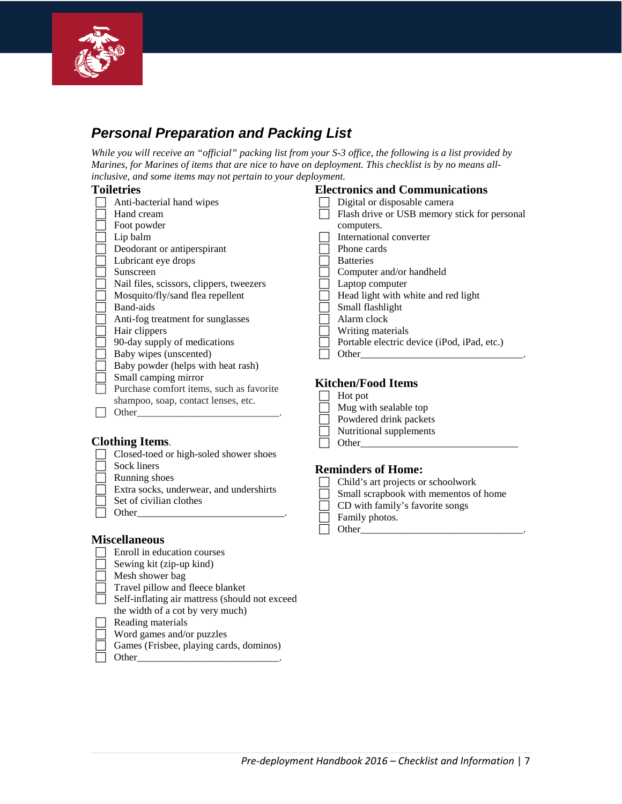

# *Personal Preparation and Packing List*

*While you will receive an "official" packing list from your S-3 office, the following is a list provided by Marines, for Marines of items that are nice to have on deployment. This checklist is by no means allinclusive, and some items may not pertain to your deployment.*  **Electronics and Communications**

### **Toiletries**

| roneu les |                                          | Electronics and Communications                                       |  |  |
|-----------|------------------------------------------|----------------------------------------------------------------------|--|--|
|           | Anti-bacterial hand wipes                | Digital or disposable camera                                         |  |  |
|           | Hand cream                               | Flash drive or USB memory stick for personal                         |  |  |
|           | Foot powder                              | computers.                                                           |  |  |
|           | Lip balm                                 | International converter                                              |  |  |
|           | Deodorant or antiperspirant              | Phone cards                                                          |  |  |
|           | Lubricant eye drops                      | <b>Batteries</b>                                                     |  |  |
|           | Sunscreen                                | Computer and/or handheld                                             |  |  |
|           | Nail files, scissors, clippers, tweezers | Laptop computer                                                      |  |  |
|           | Mosquito/fly/sand flea repellent         | Head light with white and red light                                  |  |  |
|           | Band-aids                                | Small flashlight                                                     |  |  |
|           | Anti-fog treatment for sunglasses        | Alarm clock                                                          |  |  |
|           | Hair clippers                            | Writing materials                                                    |  |  |
|           | 90-day supply of medications             | Portable electric device ( <i>iPod</i> , <i>iPad</i> , <i>etc.</i> ) |  |  |
|           | Baby wipes (unscented)                   | Other                                                                |  |  |
|           | Baby powder (helps with heat rash)       |                                                                      |  |  |
|           | Small camping mirror                     | <b>Kitchen/Food Items</b>                                            |  |  |
|           | Purchase comfort items, such as favorite |                                                                      |  |  |

#### **Kitchen/Food Items**

| NIWIICII/I OOU TICHIS   |
|-------------------------|
| Hot pot                 |
| Mug with sealable top   |
| Powdered drink packets  |
| Nutritional supplements |
| Other                   |
|                         |

### **Reminders of Home:**

| Child's art projects or schoolwork    |
|---------------------------------------|
| Small scrapbook with mementos of home |
| CD with family's favorite songs       |
| Family photos.                        |
| Other                                 |

#### **Miscellaneous**

 $\Box$  Other

**Clothing Items**.

 $\overline{\Box}$  Sock liners Running shoes

Enroll in education courses

 $\Box$  Set of civilian clothes  $\Box$  Other

- Sewing kit (zip-up kind)
- Mesh shower bag
- Travel pillow and fleece blanket

shampoo, soap, contact lenses, etc.

Closed-toed or high-soled shower shoes

Extra socks, underwear, and undershirts

- Self-inflating air mattress (should not exceed the width of a cot by very much)
- $\Box$  Reading materials
- Word games and/or puzzles
- Games (Frisbee, playing cards, dominos)
- Other\_\_\_\_\_\_\_\_\_\_\_\_\_\_\_\_\_\_\_\_\_\_\_\_\_\_\_\_.

*Pre-deployment Handbook 2016 – Checklist and Information* | 7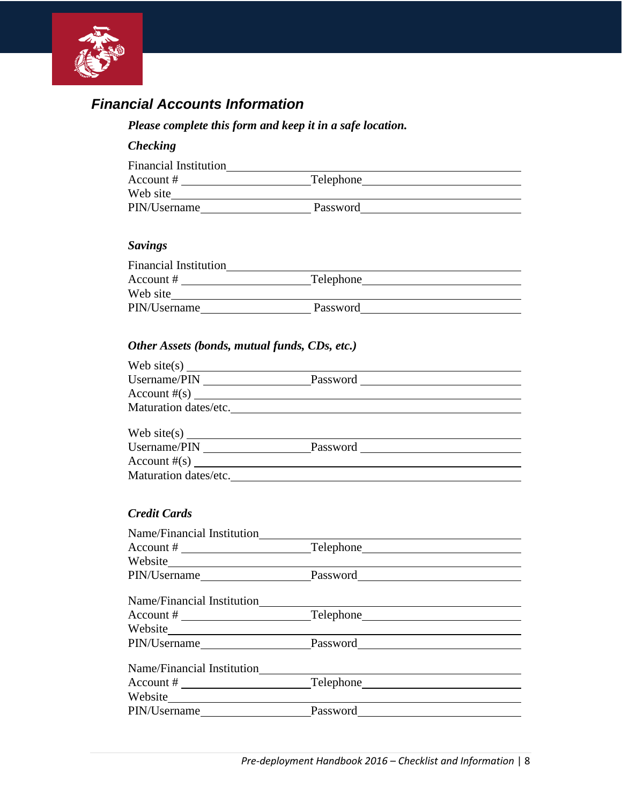

## *Financial Accounts Information*

### *Please complete this form and keep it in a safe location.*

#### *Checking*

| <b>Financial Institution</b> |           |  |
|------------------------------|-----------|--|
| Account #                    | Telephone |  |
| Web site                     |           |  |
| PIN/Username                 | Password  |  |

#### *Savings*

| <b>Financial Institution</b> |           |  |
|------------------------------|-----------|--|
| Account $#$                  | Telephone |  |
| Web site                     |           |  |
| PIN/Username                 | Password  |  |

### *Other Assets (bonds, mutual funds, CDs, etc.)*

| Web site(s) $\frac{1}{\sqrt{1-\frac{1}{2}}\sqrt{1-\frac{1}{2}}\sqrt{1-\frac{1}{2}}\sqrt{1-\frac{1}{2}}}}$ |          |  |
|-----------------------------------------------------------------------------------------------------------|----------|--|
| Username/PIN                                                                                              | Password |  |
| $\text{Account \#(s)}$                                                                                    |          |  |
| Maturation dates/etc.                                                                                     |          |  |
|                                                                                                           |          |  |
| Username/PIN                                                                                              | Password |  |
| Account $#(s)$                                                                                            |          |  |
| Maturation dates/etc.                                                                                     |          |  |

#### *Credit Cards*

| Name/Financial Institution       |                                                                                                                                                                                                                               |
|----------------------------------|-------------------------------------------------------------------------------------------------------------------------------------------------------------------------------------------------------------------------------|
|                                  |                                                                                                                                                                                                                               |
| Website $\overline{\phantom{a}}$ |                                                                                                                                                                                                                               |
|                                  | PIN/Username Password Password Password Password Pine Password Pine Password Pine Password Pine Password Pine Password Pine Password Pine Password Pine Password Pine Password Pine Password Pine Password Pine Password Pine |
| Name/Financial Institution       |                                                                                                                                                                                                                               |
|                                  |                                                                                                                                                                                                                               |
|                                  |                                                                                                                                                                                                                               |
|                                  | PIN/Username Password Password Password Password Pine Password Pine Password Pine Password Pine Password Pine Password Pine Password Pine Password Pine Password Pine Password Pine Password Pine Password Pine Password Pine |
|                                  |                                                                                                                                                                                                                               |
|                                  |                                                                                                                                                                                                                               |
| Website                          |                                                                                                                                                                                                                               |
|                                  | PIN/Username Password Password Password Password Pine Password Pine Password Pine Password Pine Password Pine Password Pine Password Pine Password Pine Password Pine Password Pine Password Pine Password Pine Password Pine |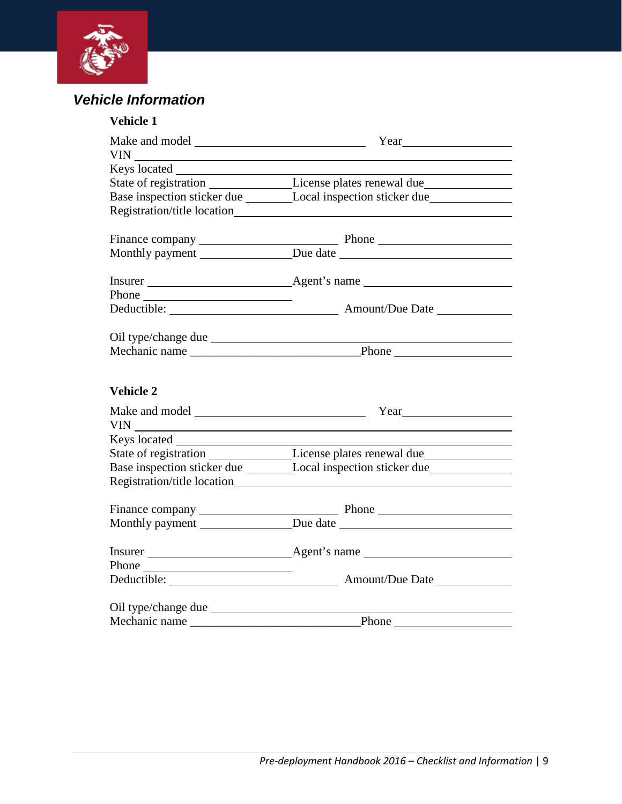

# *Vehicle Information*

| Vehicle 1        |                                                                                                      |  |
|------------------|------------------------------------------------------------------------------------------------------|--|
|                  | Year $\qquad \qquad$                                                                                 |  |
|                  |                                                                                                      |  |
|                  |                                                                                                      |  |
|                  | State of registration _______________________License plates renewal due________________              |  |
|                  | Base inspection sticker due _________________Local inspection sticker due __________________________ |  |
|                  |                                                                                                      |  |
|                  |                                                                                                      |  |
|                  |                                                                                                      |  |
|                  |                                                                                                      |  |
|                  |                                                                                                      |  |
|                  |                                                                                                      |  |
|                  |                                                                                                      |  |
|                  |                                                                                                      |  |
|                  |                                                                                                      |  |
|                  |                                                                                                      |  |
|                  |                                                                                                      |  |
| <b>Vehicle 2</b> |                                                                                                      |  |
|                  | $Year$ 200                                                                                           |  |
|                  |                                                                                                      |  |
|                  |                                                                                                      |  |
|                  | State of registration _______________________License plates renewal due_____________________________ |  |
|                  |                                                                                                      |  |
|                  |                                                                                                      |  |
|                  |                                                                                                      |  |
|                  |                                                                                                      |  |
|                  |                                                                                                      |  |
|                  |                                                                                                      |  |
|                  |                                                                                                      |  |
|                  |                                                                                                      |  |
|                  |                                                                                                      |  |
| Mechanic name    | Phone                                                                                                |  |
|                  |                                                                                                      |  |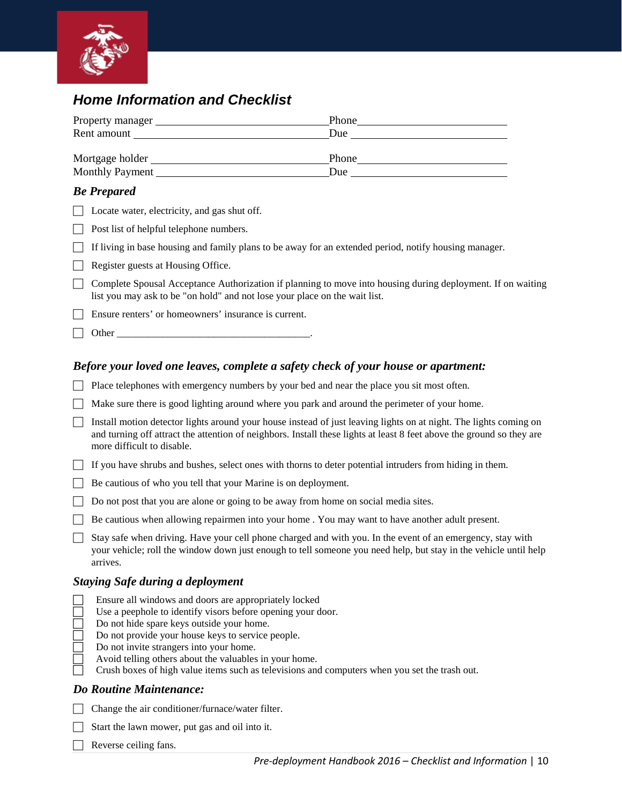

### *Home Information and Checklist*

| Property manager | Phone |
|------------------|-------|
| Rent amount      | Due   |
|                  |       |
| Mortgage holder  | Phone |
| Monthly Payment  | Due   |
|                  |       |

#### *Be Prepared*

| $\Box$ Locate water, electricity, and gas shut off. |  |  |
|-----------------------------------------------------|--|--|
|                                                     |  |  |

 $\Box$  Post list of helpful telephone numbers.

If living in base housing and family plans to be away for an extended period, notify housing manager.

- $\Box$  Register guests at Housing Office.
- $\Box$  Complete Spousal Acceptance Authorization if planning to move into housing during deployment. If on waiting list you may ask to be "on hold" and not lose your place on the wait list.
- Ensure renters' or homeowners' insurance is current.
- $\Box$  Other

#### *Before your loved one leaves, complete a safety check of your house or apartment:*

- $\Box$  Place telephones with emergency numbers by your bed and near the place you sit most often.
- Make sure there is good lighting around where you park and around the perimeter of your home.
- $\Box$  Install motion detector lights around your house instead of just leaving lights on at night. The lights coming on and turning off attract the attention of neighbors. Install these lights at least 8 feet above the ground so they are more difficult to disable.
- $\Box$  If you have shrubs and bushes, select ones with thorns to deter potential intruders from hiding in them.
- Be cautious of who you tell that your Marine is on deployment.
- Do not post that you are alone or going to be away from home on social media sites.
- Be cautious when allowing repairmen into your home . You may want to have another adult present.
- Stay safe when driving. Have your cell phone charged and with you. In the event of an emergency, stay with your vehicle; roll the window down just enough to tell someone you need help, but stay in the vehicle until help arrives.

#### *Staying Safe during a deployment*

- Ensure all windows and doors are appropriately locked
- Use a peephole to identify visors before opening your door.
- Do not hide spare keys outside your home.
- Do not provide your house keys to service people.
- Do not invite strangers into your home.
- Avoid telling others about the valuables in your home.
- Crush boxes of high value items such as televisions and computers when you set the trash out.

#### *Do Routine Maintenance:*

- Change the air conditioner/furnace/water filter.
- $\Box$  Start the lawn mower, put gas and oil into it.
- $\Box$  Reverse ceiling fans.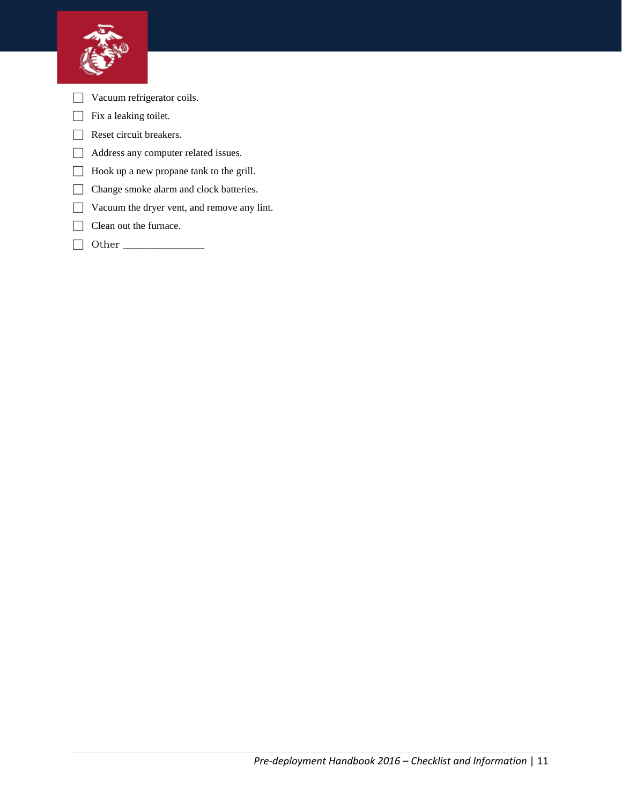

- Vacuum refrigerator coils.
- $\Box$  Fix a leaking toilet.
- Reset circuit breakers.
- Address any computer related issues.
- Hook up a new propane tank to the grill.
- Change smoke alarm and clock batteries.
- Vacuum the dryer vent, and remove any lint.
- Clean out the furnace.
- Other \_\_\_\_\_\_\_\_\_\_\_\_\_\_\_\_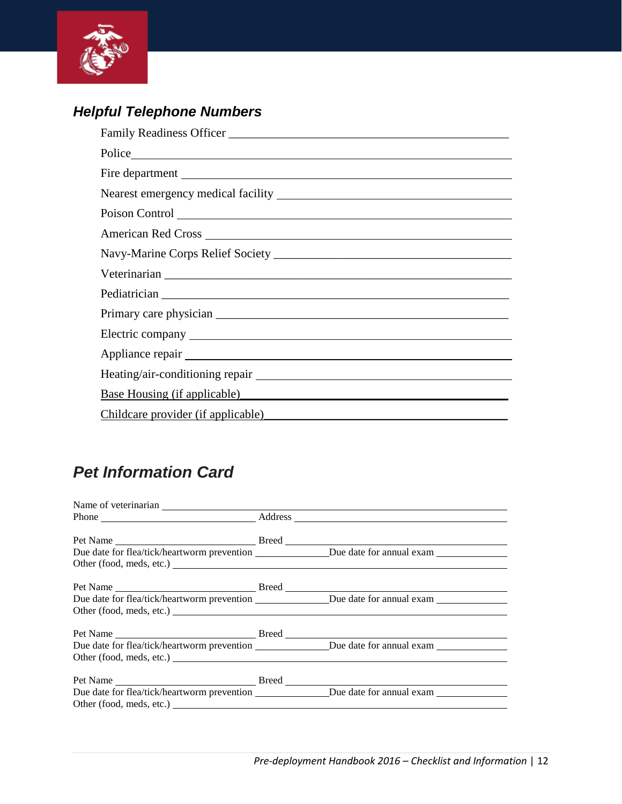

# *Helpful Telephone Numbers*

| Fire department                                                                                                                                                                                                                |
|--------------------------------------------------------------------------------------------------------------------------------------------------------------------------------------------------------------------------------|
|                                                                                                                                                                                                                                |
| Poison Control                                                                                                                                                                                                                 |
| American Red Cross New York and Separate and Separate and Separate and Separate and Separate and Separate and Separate and Separate and Separate and Separate and Separate and Separate and Separate and Separate and Separate |
|                                                                                                                                                                                                                                |
|                                                                                                                                                                                                                                |
|                                                                                                                                                                                                                                |
|                                                                                                                                                                                                                                |
|                                                                                                                                                                                                                                |
|                                                                                                                                                                                                                                |
|                                                                                                                                                                                                                                |
| Base Housing (if applicable)                                                                                                                                                                                                   |
| Childcare provider (if applicable) example and the contract of the contract of the contract of the contract of the contract of the contract of the contract of the contract of the contract of the contract of the contract of |

# *Pet Information Card*

| Due date for flea/tick/heartworm prevention Due date for annual exam    |  |
|-------------------------------------------------------------------------|--|
|                                                                         |  |
|                                                                         |  |
|                                                                         |  |
|                                                                         |  |
|                                                                         |  |
| Due date for flea/tick/heartworm prevention<br>Due date for annual exam |  |
|                                                                         |  |
|                                                                         |  |
|                                                                         |  |
|                                                                         |  |